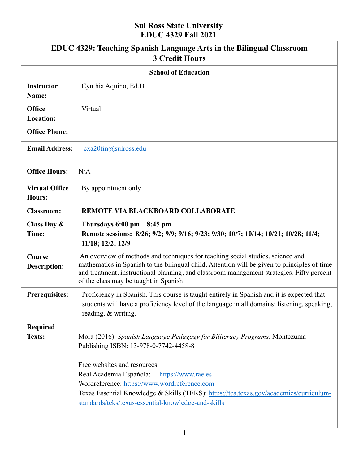### **Sul Ross State University EDUC 4329 Fall 2021**

|                                   | <b>EDUC 4329: Teaching Spanish Language Arts in the Bilingual Classroom</b><br><b>3 Credit Hours</b>                                                                                                                                                                                                                                                                                                 |  |  |
|-----------------------------------|------------------------------------------------------------------------------------------------------------------------------------------------------------------------------------------------------------------------------------------------------------------------------------------------------------------------------------------------------------------------------------------------------|--|--|
| <b>School of Education</b>        |                                                                                                                                                                                                                                                                                                                                                                                                      |  |  |
| <b>Instructor</b><br>Name:        | Cynthia Aquino, Ed.D                                                                                                                                                                                                                                                                                                                                                                                 |  |  |
| <b>Office</b><br><b>Location:</b> | Virtual                                                                                                                                                                                                                                                                                                                                                                                              |  |  |
| <b>Office Phone:</b>              |                                                                                                                                                                                                                                                                                                                                                                                                      |  |  |
| <b>Email Address:</b>             | cxa20fm@sulross.edu                                                                                                                                                                                                                                                                                                                                                                                  |  |  |
| <b>Office Hours:</b>              | N/A                                                                                                                                                                                                                                                                                                                                                                                                  |  |  |
| <b>Virtual Office</b><br>Hours:   | By appointment only                                                                                                                                                                                                                                                                                                                                                                                  |  |  |
| <b>Classroom:</b>                 | REMOTE VIA BLACKBOARD COLLABORATE                                                                                                                                                                                                                                                                                                                                                                    |  |  |
| Class Day &<br>Time:              | Thursdays $6:00 \text{ pm} - 8:45 \text{ pm}$<br>Remote sessions: 8/26; 9/2; 9/9; 9/16; 9/23; 9/30; 10/7; 10/14; 10/21; 10/28; 11/4;<br>11/18; 12/2; 12/9                                                                                                                                                                                                                                            |  |  |
| Course<br><b>Description:</b>     | An overview of methods and techniques for teaching social studies, science and<br>mathematics in Spanish to the bilingual child. Attention will be given to principles of time<br>and treatment, instructional planning, and classroom management strategies. Fifty percent<br>of the class may be taught in Spanish.                                                                                |  |  |
| <b>Prerequisites:</b>             | Proficiency in Spanish. This course is taught entirely in Spanish and it is expected that<br>students will have a proficiency level of the language in all domains: listening, speaking,<br>reading, & writing.                                                                                                                                                                                      |  |  |
| Required<br><b>Texts:</b>         | Mora (2016). Spanish Language Pedagogy for Biliteracy Programs. Montezuma<br>Publishing ISBN: 13-978-0-7742-4458-8<br>Free websites and resources:<br>Real Academia Española:<br>https://www.rae.es<br>Wordreference: https://www.wordreference.com<br>Texas Essential Knowledge & Skills (TEKS): https://tea.texas.gov/academics/curriculum-<br>standards/teks/texas-essential-knowledge-and-skills |  |  |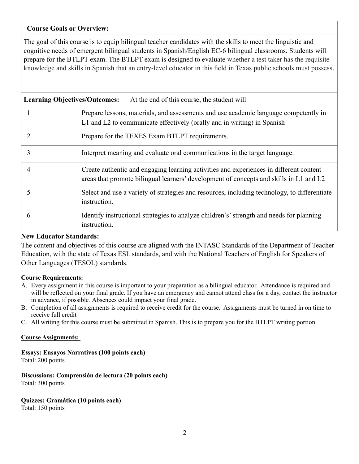### **Course Goals or Overview:**

The goal of this course is to equip bilingual teacher candidates with the skills to meet the linguistic and cognitive needs of emergent bilingual students in Spanish/English EC-6 bilingual classrooms. Students will prepare for the BTLPT exam. The BTLPT exam is designed to evaluate whether a test taker has the requisite knowledge and skills in Spanish that an entry-level educator in this field in Texas public schools must possess.

| <b>Learning Objectives/Outcomes:</b><br>At the end of this course, the student will |                                                                                                                                                                                  |  |  |
|-------------------------------------------------------------------------------------|----------------------------------------------------------------------------------------------------------------------------------------------------------------------------------|--|--|
|                                                                                     | Prepare lessons, materials, and assessments and use academic language competently in<br>L1 and L2 to communicate effectively (orally and in writing) in Spanish                  |  |  |
| 2                                                                                   | Prepare for the TEXES Exam BTLPT requirements.                                                                                                                                   |  |  |
| 3                                                                                   | Interpret meaning and evaluate oral communications in the target language.                                                                                                       |  |  |
| 4                                                                                   | Create authentic and engaging learning activities and experiences in different content<br>areas that promote bilingual learners' development of concepts and skills in L1 and L2 |  |  |
| 5                                                                                   | Select and use a variety of strategies and resources, including technology, to differentiate<br>instruction.                                                                     |  |  |
| 6                                                                                   | Identify instructional strategies to analyze children's' strength and needs for planning<br>instruction.                                                                         |  |  |

#### **New Educator Standards:**

The content and objectives of this course are aligned with the INTASC Standards of the Department of Teacher Education, with the state of Texas ESL standards, and with the National Teachers of English for Speakers of Other Languages (TESOL) standards.

#### **Course Requirements:**

- A. Every assignment in this course is important to your preparation as a bilingual educator. Attendance is required and will be reflected on your final grade. If you have an emergency and cannot attend class for a day, contact the instructor in advance, if possible*.* Absences could impact your final grade.
- B. Completion of all assignments is required to receive credit for the course. Assignments must be turned in on time to receive full credit*.*
- C. All writing for this course must be submitted in Spanish. This is to prepare you for the BTLPT writing portion.

#### **Course Assignments:**

**Essays: Ensayos Narrativos (100 points each)** 

Total: 200 points

**Discussions: Comprensión de lectura (20 points each)** Total: 300 points

#### **Quizzes: Gramática (10 points each)**

Total: 150 points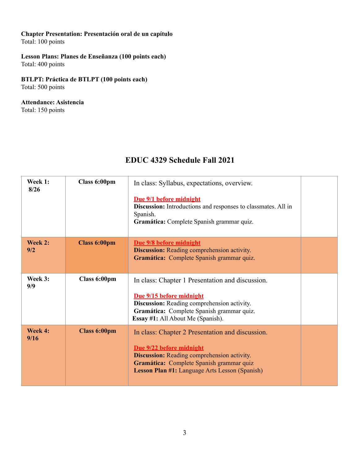# **Chapter Presentation: Presentación oral de un capítulo**

Total: 100 points

### **Lesson Plans: Planes de Enseñanza (100 points each)**

Total: 400 points

### **BTLPT: Práctica de BTLPT (100 points each)**

Total: 500 points

### **Attendance: Asistencia**

Total: 150 points

## **EDUC 4329 Schedule Fall 2021**

| Week 1:<br>8/26 | Class 6:00pm        | In class: Syllabus, expectations, overview.<br>Due 9/1 before midnight<br><b>Discussion:</b> Introductions and responses to classmates. All in<br>Spanish.<br>Gramática: Complete Spanish grammar quiz.                          |  |
|-----------------|---------------------|----------------------------------------------------------------------------------------------------------------------------------------------------------------------------------------------------------------------------------|--|
| Week 2:<br>9/2  | <b>Class 6:00pm</b> | Due 9/8 before midnight<br><b>Discussion:</b> Reading comprehension activity.<br>Gramática: Complete Spanish grammar quiz.                                                                                                       |  |
| Week 3:<br>9/9  | Class 6:00pm        | In class: Chapter 1 Presentation and discussion.<br>Due 9/15 before midnight<br>Discussion: Reading comprehension activity.<br>Gramática: Complete Spanish grammar quiz.<br>Essay #1: All About Me (Spanish).                    |  |
| Week 4:<br>9/16 | <b>Class 6:00pm</b> | In class: Chapter 2 Presentation and discussion.<br>Due 9/22 before midnight<br><b>Discussion:</b> Reading comprehension activity.<br>Gramática: Complete Spanish grammar quiz<br>Lesson Plan #1: Language Arts Lesson (Spanish) |  |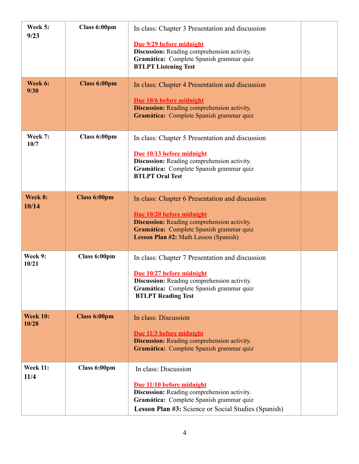| Week 5:<br>9/23          | Class 6:00pm        | In class: Chapter 3 Presentation and discussion<br>Due 9/29 before midnight<br>Discussion: Reading comprehension activity.<br>Gramática: Complete Spanish grammar quiz<br><b>BTLPT Listening Test</b>                          |  |
|--------------------------|---------------------|--------------------------------------------------------------------------------------------------------------------------------------------------------------------------------------------------------------------------------|--|
| Week 6:<br>9/30          | <b>Class 6:00pm</b> | In class: Chapter 4 Presentation and discussion<br>Due 10/6 before midnight<br><b>Discussion:</b> Reading comprehension activity.<br>Gramática: Complete Spanish grammar quiz                                                  |  |
| Week 7:<br>10/7          | Class 6:00pm        | In class: Chapter 5 Presentation and discussion<br>Due 10/13 before midnight<br>Discussion: Reading comprehension activity.<br>Gramática: Complete Spanish grammar quiz<br><b>BTLPT Oral Test</b>                              |  |
| Week 8:<br>10/14         | <b>Class 6:00pm</b> | In class: Chapter 6 Presentation and discussion<br>Due 10/20 before midnight<br><b>Discussion:</b> Reading comprehension activity.<br>Gramática: Complete Spanish grammar quiz<br><b>Lesson Plan #2: Math Lesson (Spanish)</b> |  |
| Week 9:<br>10/21         | Class 6:00pm        | In class: Chapter 7 Presentation and discussion<br>Due 10/27 before midnight<br>Discussion: Reading comprehension activity.<br>Gramática: Complete Spanish grammar quiz<br><b>BTLPT Reading Test</b>                           |  |
| <b>Week 10:</b><br>10/28 | <b>Class 6:00pm</b> | In class: Discussion<br>Due 11/3 before midnight<br><b>Discussion:</b> Reading comprehension activity.<br>Gramática: Complete Spanish grammar quiz                                                                             |  |
| <b>Week 11:</b><br>11/4  | Class 6:00pm        | In class: Discussion<br>Due 11/10 before midnight<br>Discussion: Reading comprehension activity.<br>Gramática: Complete Spanish grammar quiz<br><b>Lesson Plan #3: Science or Social Studies (Spanish)</b>                     |  |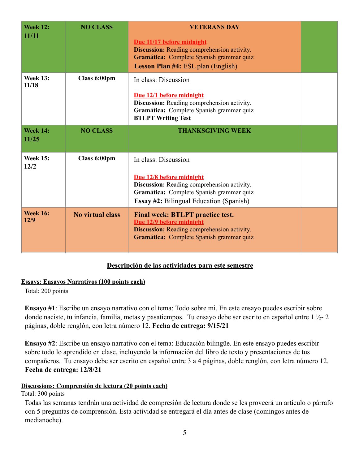| <b>Week 12:</b><br>11/11 | <b>NO CLASS</b>         | <b>VETERANS DAY</b><br>Due 11/17 before midnight<br><b>Discussion:</b> Reading comprehension activity.<br>Gramática: Complete Spanish grammar quiz<br><b>Lesson Plan #4: ESL plan (English)</b> |  |
|--------------------------|-------------------------|-------------------------------------------------------------------------------------------------------------------------------------------------------------------------------------------------|--|
| <b>Week 13:</b><br>11/18 | Class 6:00pm            | In class: Discussion<br>Due 12/1 before midnight<br>Discussion: Reading comprehension activity.<br>Gramática: Complete Spanish grammar quiz<br><b>BTLPT Writing Test</b>                        |  |
| <b>Week 14:</b><br>11/25 | <b>NO CLASS</b>         | <b>THANKSGIVING WEEK</b>                                                                                                                                                                        |  |
| <b>Week 15:</b><br>12/2  | Class 6:00pm            | In class: Discussion<br>Due 12/8 before midnight<br>Discussion: Reading comprehension activity.<br>Gramática: Complete Spanish grammar quiz<br><b>Essay #2: Bilingual Education (Spanish)</b>   |  |
| <b>Week 16:</b><br>12/9  | <b>No virtual class</b> | <b>Final week: BTLPT practice test.</b>                                                                                                                                                         |  |

### **Descripción de las actividades para este semestre**

### **Essays: Ensayos Narrativos (100 points each)**

Total: 200 points

**Ensayo #1**: Escribe un ensayo narrativo con el tema: Todo sobre mi. En este ensayo puedes escribir sobre donde naciste, tu infancia, familia, metas y pasatiempos. Tu ensayo debe ser escrito en español entre 1 ½- 2 páginas, doble renglón, con letra número 12. **Fecha de entrega: 9/15/21**

**Ensayo #2**: Escribe un ensayo narrativo con el tema: Educación bilingüe. En este ensayo puedes escribir sobre todo lo aprendido en clase, incluyendo la información del libro de texto y presentaciones de tus compañeros. Tu ensayo debe ser escrito en español entre 3 a 4 páginas, doble renglón, con letra número 12. **Fecha de entrega: 12/8/21**

### **Discussions: Comprensión de lectura (20 points each)**

Total: 300 points

Todas las semanas tendrán una actividad de compresión de lectura donde se les proveerá un artículo o párrafo con 5 preguntas de comprensión. Esta actividad se entregará el día antes de clase (domingos antes de medianoche).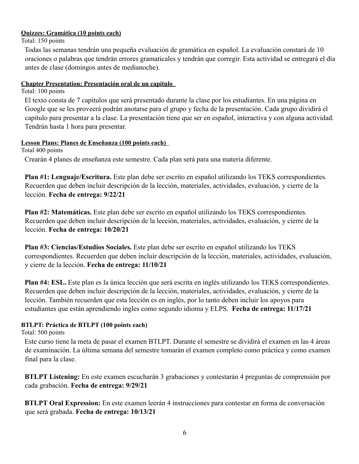#### **Quizzes: Gramática (10 points each)**

Total: 150 points

Todas las semanas tendrán una pequeña evaluación de gramática en español. La evaluación constará de 10 oraciones o palabras que tendrán errores gramaticales y tendrán que corregir. Esta actividad se entregará el día antes de clase (domingos antes de medianoche).

#### **Chapter Presentation: Presentación oral de un capítulo**

Total: 100 points

El texto consta de 7 capítulos que será presentado durante la clase por los estudiantes. En una página en Google que se les proveerá podrán anotarse para el grupo y fecha de la presentación. Cada grupo dividirá el capítulo para presentar a la clase. La presentación tiene que ser en español, interactiva y con alguna actividad. Tendrán hasta 1 hora para presentar.

### **Lesson Plans: Planes de Enseñanza (100 points each)**

Total 400 points Crearán 4 planes de enseñanza este semestre. Cada plan será para una materia diferente.

**Plan #1: Lenguaje/Escritura.** Este plan debe ser escrito en español utilizando los TEKS correspondientes. Recuerden que deben incluir descripción de la lección, materiales, actividades, evaluación, y cierre de la lección. **Fecha de entrega: 9/22/21**

**Plan #2: Matemáticas.** Este plan debe ser escrito en español utilizando los TEKS correspondientes. Recuerden que deben incluir descripción de la lección, materiales, actividades, evaluación, y cierre de la lección. **Fecha de entrega: 10/20/21**

**Plan #3: Ciencias/Estudios Sociales.** Este plan debe ser escrito en español utilizando los TEKS correspondientes. Recuerden que deben incluir descripción de la lección, materiales, actividades, evaluación, y cierre de la lección. **Fecha de entrega: 11/10/21**

**Plan #4: ESL.** Este plan es la única lección que será escrita en inglés utilizando los TEKS correspondientes. Recuerden que deben incluir descripción de la lección, materiales, actividades, evaluación, y cierre de la lección. También recuerden que esta lección es en inglés, por lo tanto deben incluir los apoyos para estudiantes que están aprendiendo ingles como segundo idioma y ELPS. **Fecha de entrega: 11/17/21**

#### **BTLPT: Práctica de BTLPT (100 points each)**

Total: 500 points

Este curso tiene la meta de pasar el examen BTLPT. Durante el semestre se dividirá el examen en las 4 áreas de examinación. La última semana del semestre tomarán el examen completo como práctica y como examen final para la clase.

**BTLPT Listening:** En este examen escucharán 3 grabaciones y contestarán 4 preguntas de comprensión por cada grabación. **Fecha de entrega: 9/29/21**

**BTLPT Oral Expression:** En este examen leerán 4 instrucciones para contestar en forma de conversación que será grabada. **Fecha de entrega: 10/13/21**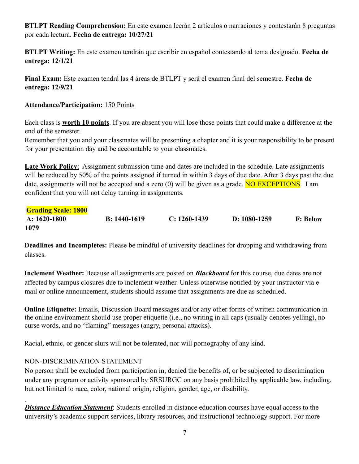**BTLPT Reading Comprehension:** En este examen leerán 2 artículos o narraciones y contestarán 8 preguntas por cada lectura. **Fecha de entrega: 10/27/21**

**BTLPT Writing:** En este examen tendrán que escribir en español contestando al tema designado. **Fecha de entrega: 12/1/21**

**Final Exam:** Este examen tendrá las 4 áreas de BTLPT y será el examen final del semestre. **Fecha de entrega: 12/9/21**

### **Attendance/Participation:** 150 Points

Each class is **worth 10 points**. If you are absent you will lose those points that could make a difference at the end of the semester.

Remember that you and your classmates will be presenting a chapter and it is your responsibility to be present for your presentation day and be accountable to your classmates.

**Late Work Policy**: Assignment submission time and dates are included in the schedule. Late assignments will be reduced by 50% of the points assigned if turned in within 3 days of due date. After 3 days past the due date, assignments will not be accepted and a zero  $(0)$  will be given as a grade. **NO EXCEPTIONS**. I am confident that you will not delay turning in assignments.

| <b>Grading Scale: 1800</b> |                |                |                |                 |
|----------------------------|----------------|----------------|----------------|-----------------|
| A: $1620-1800$             | $B: 1440-1619$ | $C: 1260-1439$ | D: $1080-1259$ | <b>F: Below</b> |
| 1079                       |                |                |                |                 |

**Deadlines and Incompletes:** Please be mindful of university deadlines for dropping and withdrawing from classes.

**Inclement Weather:** Because all assignments are posted on *Blackboard* for this course, due dates are not affected by campus closures due to inclement weather. Unless otherwise notified by your instructor via email or online announcement, students should assume that assignments are due as scheduled.

**Online Etiquette:** Emails, Discussion Board messages and/or any other forms of written communication in the online environment should use proper etiquette (i.e., no writing in all caps (usually denotes yelling), no curse words, and no "flaming" messages (angry, personal attacks).

Racial, ethnic, or gender slurs will not be tolerated, nor will pornography of any kind.

### NON-DISCRIMINATION STATEMENT

No person shall be excluded from participation in, denied the benefits of, or be subjected to discrimination under any program or activity sponsored by SRSURGC on any basis prohibited by applicable law, including, but not limited to race, color, national origin, religion, gender, age, or disability.

**Distance Education Statement**: Students enrolled in distance education courses have equal access to the university's academic support services, library resources, and instructional technology support. For more